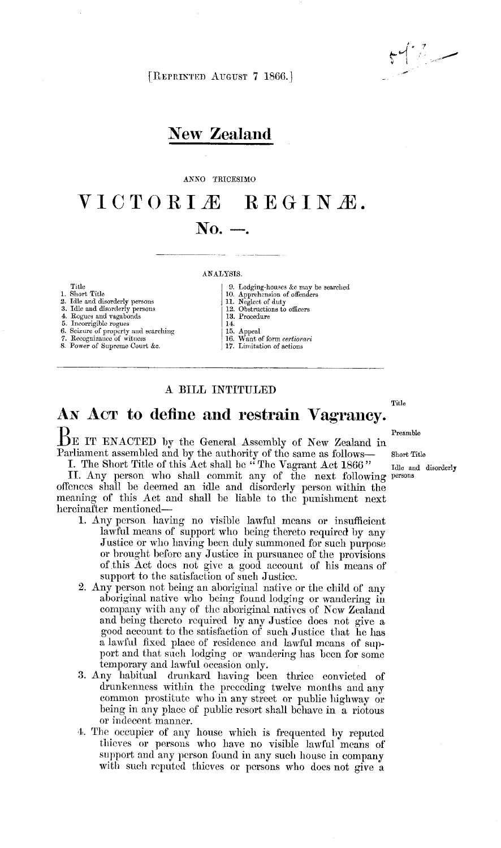$1 - 7$ 

[REPRIN'rED AUGUST 7 1866. ]

## New Zealand

#### ANNO TRICESIMO

# VICTORIÆ REGINÆ.  $\bf{No.}$   $\bf{-.}$

#### ANALYSIS.

Title 1. Short Title

2. Idle and disorderly persons 3. Idle and disorderly persons

4. Rogues and vagabonds<br>5. Incorrigible rogues<br>6. Seizure of property and searching<br>7. Recognizance of witness<br>8. Power of Supreme Court &c.

- 
- 9. Lodging-houses ke may be searched 10. Apprehension of offenders 11. Negled of duty 12. Obstrnations to ofIleers
- 13. Procedure
- 14.
- 
- 15. Appeal<br>16. Want of form *certiorari*
- 17. Limitation of actions

## A BILL INTITULED

Title

# AN Acr to define and restrain Vagrancy.

 $B$ E IT ENACTED by the General Assembly of New Zealand in Parliament assembled and by the authority of the same as follows- short Title

I. The Short Title of this Act shall be "The Vagrant Act 1866" Idle and disorderly II. Any person who shall commit any of the next following persons offences shall be deemed an idle and disorderly person within the meaning of this Act and shall be liable to the punishment next hereinafter mentioned-

- 1. Any person having no visible lawful means or insufficient lawful means of support who being thereto required by any Justice or who having been duly summoned for such purpose or brought before any Justice in pursuance of the provisions of.this Act does not give a good account of his means of support to the satisfaction of such Justice.
- 2. Any person not being an aboriginal native or the child of any aboriginal native wlio being found lodging or wandering in company with any of the aboriginal natives of New Zealand and being thereto required by any Justice does not give a good account to the satisfaction of such Justice that he has a lawful hxed place of residence and lawful means of support and that such lodging or wandering has been for some temporary and lawful occasion only.
- 3. Any habitual drunkard having been thrice convicted of drunkenness within the preceding twelve months and any common prostitute who in any street or public highway or being in any place of public resort shall behave in a riotous or indecent manner.
- 4. The occupier of any house which is frequented by reputed thieves or persons who have no visible lawful means of support and any person found in any such house in company with such reputed thieves or persons who does not give a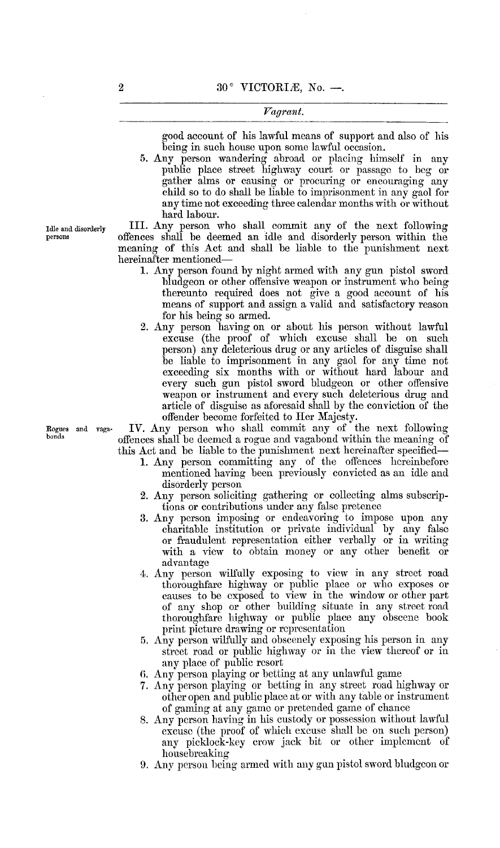#### Fagrant.

good account of his lawful means of support and also of his being in such house upon some lawful occasion.

5. Any person wandering abroad or placing himself in any public place street highway court or passage to beg or gather aims or causing or procuring or encouraging any child so to do shall be liable to imprisonment in any gaol for any time not exceeding three calendar months with or without hard labour.

Idle and disorderly III. Any person who shall commit any of the next following<br>persons offences shall be deemed an idle and disorderly person within the persons ofFences shall be deemed an idle and disorderly person within the meaning of this Act and shall be liable to the punishment next hereinafter mentioned-

- 1. Any person found by night armed with any gun pistol sword bludgeon or other offensive weapon or instrument who being thereunto required does not give a good account of his means of support and assign a valid and satisfactory reason for his being so armed.
- 2. Any person having on or about his person without lawful excuse (the proof of which excuse shall be on such person) any deleterious drug or any articles of disguise shall be liable to imprisonment in any gaol for any time not exceeding six months with or without hard labour and every such gun pistol sword bludgeon or other offensive weapon or instrument and every such deleterious drug and article of disguise as aforesaid shall by the conviction of the offender become forfeited to Her Majesty.

Rogues and vag»· IV. Any person who shall commit any of the next following offences shall be deemed a rogue and vagabond within the meaning of this Act and be liable to the punishment next hereinafter specified-

- 1. Any person committing any of the offenees hereinbefore mentioned having been previously convicted as an idle and disorderly person
- 2. Any person soliciting gathering or collecting alms subseriptions or contributions under any false pretenee
- 3. Any person imposing or endeavoring to impose upon any charitable institution or private individual by any false or fraudulent representation either verbally or in writing with a view to obtain money or any other benefit or advantage
- 4. Any person wilfully exposing to view in any street road thoroughfare highway or public place or who exposes or causes to be exposed to view in the window or other part of any shop or other building situate in any street road thoroughfare highway or public place any obscene book print picture drawing or representation
- 5. Any person wilfully and obscenely exposing his person in any street road or public highway or in the view thereof or in any place of public resort
- 6. Any person playing or betting at any unlawful game
- 7. Any person playing or betting in any street road highway or other open and public place at or with any table or instrument of gaming at any game or pretended game of chance
- 8. Any person having in his custody or possession without lawful excuse (the proof of which excuse shall be on such person) any picklock-key crow jack bit or other implement of housebreaking
- 9. Any person being armed with any gun pistol sword bludgeon or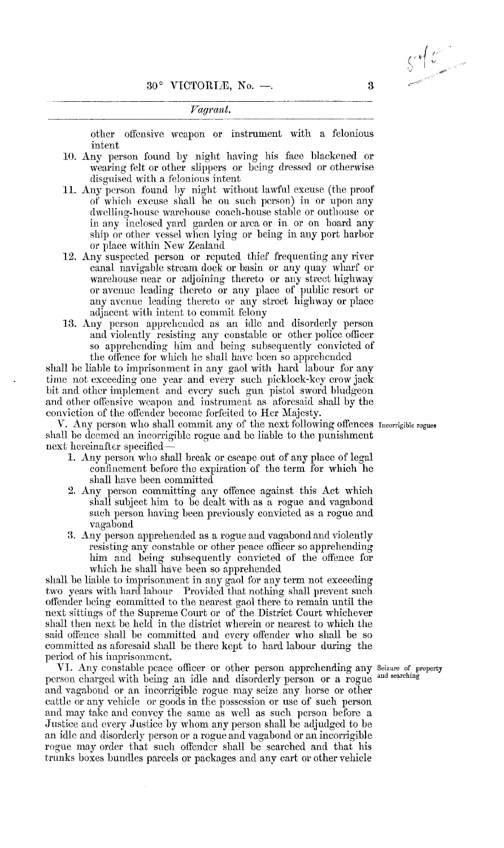Fagrant.

other offensive weapon or instrument with a felonious intent

- 10. Any person found by night having his face blackened or -wearing felt or other slippers or being dressed or otherwise disguised with a felonious intent
- 11. Any person found by night without lawful excuse (the proof of which excuse shall be on such person) in or upon any dwelling-house warehouse coach-house stable or outhouse or in any inclosed yard garden or area or in or on board any ship or other vessel when lying or being in any port harbor or place within New Zealand
- 12. Any suspected person or reputed thief frequenting any river canal navigable stream dock or basin or any quay wliarf or warehouse near or adjoining thereto or any street highway or avenue leading thereto or any place of public resort or any avenue leading thereto or any street highway or place adjacent with intent to commit felony
- 13. Any person apprehended as an idle and disorderly person and violently resisting any constable or other police officer so apprehending him and being subsequently convicted of the offence for which he shall have been so apprehended

shall be liable to imprisonment in any gaol with hard labour for any time not exceeding one year and every such picklock-key crow jack bit and other implement and every such gun pistol sword bludgeon and other offensive weapon and instrument as aforesaid shall by the conviction of the offender become forfeited to Her Majesty.

V. Any person who shall commit any of the next following offences Incorrigible rogues shall be deemed an incorrigible rogue and be liable to the punishment next hereinafter specified-

- 1. Any person who shall break or escapc out of any place of legal confinement before the expiration of the term for which he shall have been committed
- 2. Any person committing any offence against this Act which shall subject him to be dealt with as a rogue and vagabond such person having been previously convicted as a rogue and vagabond
- 3. Any person apprehended as a rogue and vagabond and violently resisting any constable or other peace officer so apprehending him and being subsequently convicted of the offence for which he shall have been so apprehended

shall be liable to imprisonment in any gaol for any term not exceeding two years with hard labour Provided that nothing shall prevent such offender being committed to the nearest gaol there to remain until the next sittings of the Supreme Court or of the District Court whichever shall then next be held in the district wherein or nearest to which the said offence shall be committed and every offender who shall be so committed as aforesaid shall be there kept to hard labour during the period of his imprisonment.

VI. Any constable peace officer or other person apprehending any Seizure of property person charged with being an idle and disorderly person or a rogue and searching and vagabond or an ineorrigible rogue may seize any horse or other cattle or any vehicle or goods in the possession or use of such person and may take and convey the same as well as such person before a Justice and every Justice by whom any person shall be adjudged to be an idle and disorderly person or a rogue and vagabond or an incorrigible rogue may order that such offender shall be searched and that his trunks boxes bundles parcels or packages and any cart or other vehicle

 $\zeta^{\ast}\not\models\zeta$ 

3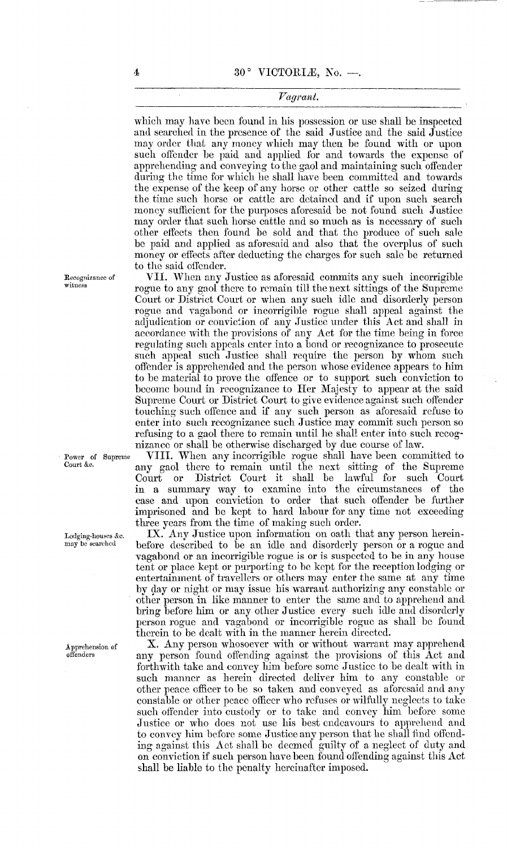#### Fagrant.

which may have been found in his possession or use shall be inspected and searched in the presence of the said Justice and the said Justice may order that any money which may then be found with or upon such offender be paid and applied for and towards the expense of apprehending and conveying to the gaol and maintaining such offender during the time for which he shall have been committed and towards the expense of the keep of any horse or other cattle so seized during the time such horse or cattle are detained and if upon such search money sufficient for the purposes aforesaid be not found such Justice may order that such horse cattle and so much as is necessary of such other effects then found be sold and that the produce of such sale be paid and applied as aforesaid and also that the overplus of such money or effects after deducting the charges for such sale be returned to the said offender.

VII. When any Justice as aforesaid commits any such incorrigible rogue to any gaol there to remain till the next sittings of the Supreme Court or District Court or when any such idle and disorderly person rogue and vagabond or ineorrigible rogue shall appeal against the adjudication or conviction of any Justice under this Act and shall in accordance with the provisions of any Act for the time being in force regulating such appeals enter into a bond or recognizance to prosecute such appeal such Justice shall require the person by whom such offender is apprehended and the person whose evidence appears to him to be material to prove the offence or to support such conviction to become bound in recognizance to Her Majesty to appear at the said Supreme Court or District Court to give evidence against such offender touching such offence and if any such person as aforesaid refuse to enter into such recognizance such Justice may commit such person so refusing to a gaol there to remain until he shall enter into such recognizance or shall be otherwise discharged by due course of law.

VIII. When any incorrigible rogue shall have been committed to any gaol there to remain until the next sitting of the Supreme or District Court it shall be lawful for such Court in a summary way, to examine into the circumstances of the ease and upon conviction to order that such offender be further imprisoned and be kept to hard labour for any time not exceeding three years from the time of making such order.

IX. Any Justice upon information on oath that any person hereinbefore described to be an idle and disorderly person or a rogue and vagabond or an incorrigible rogue is or is suspected to be in any house tent or place kept or purporting to be kept for the reception lodging or entertaininent of travellers or others may enter the same at any time by day or night or may issue liis warrant authorizing any constable or other person in like manner to enter the same and to apprehend and bring before him or any other Justice every such idle and disorderly person rogue and vagabond or incorrigible rogue as shall be found therein to be dealt with in the manner herein directed.

X. Any person whosoever with or without warrant may apprehend any person found offending against the provisions of this Act and forthwith take and convey him before some Justice to be dealt with in such manner as herein directed deliver him to any constable or other peace officer to be so taken and conveyed as aforesaid and any constable or other peace ofileer who refuses or wilfully neglects to take such offender into custody or to take and convey him before some Justice or who does not use his best endeavours to apprehend and to convey him before some Justice any person that he shall find offending against this Act shall be deemed guilty of a neglect of duty and on conviction if such person have been found offending against this Act shall be liable to the penalty hereinafter imposed.

Recognizance of witness

Power of Supreme Court &e.

Lodging-houses ke. may be searched

Apprehension of offenders